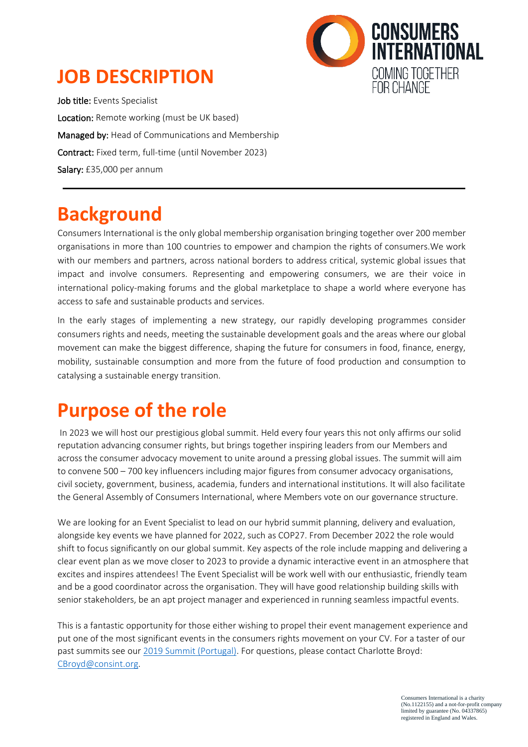### **JOB DESCRIPTION**



Job title: Events Specialist Location: Remote working (must be UK based) Managed by: Head of Communications and Membership Contract: Fixed term, full-time (until November 2023) Salary: £35,000 per annum

### **Background**

Consumers International is the only global membership organisation bringing together over 200 member organisations in more than 100 countries to empower and champion the rights of consumers.We work with our members and partners, across national borders to address critical, systemic global issues that impact and involve consumers. Representing and empowering consumers, we are their voice in international policy-making forums and the global marketplace to shape a world where everyone has access to safe and sustainable products and services.

In the early stages of implementing a new strategy, our rapidly developing programmes consider consumers rights and needs, meeting the sustainable development goals and the areas where our global movement can make the biggest difference, shaping the future for consumers in food, finance, energy, mobility, sustainable consumption and more from the future of food production and consumption to catalysing a sustainable energy transition.

### **Purpose of the role**

In 2023 we will host our prestigious global summit. Held every four years this not only affirms our solid reputation advancing consumer rights, but brings together inspiring leaders from our Members and across the consumer advocacy movement to unite around a pressing global issues. The summit will aim to convene 500 – 700 key influencers including major figures from consumer advocacy organisations, civil society, government, business, academia, funders and international institutions. It will also facilitate the General Assembly of Consumers International, where Members vote on our governance structure.

We are looking for an Event Specialist to lead on our hybrid summit planning, delivery and evaluation, alongside key events we have planned for 2022, such as COP27. From December 2022 the role would shift to focus significantly on our global summit. Key aspects of the role include mapping and delivering a clear event plan as we move closer to 2023 to provide a dynamic interactive event in an atmosphere that excites and inspires attendees! The Event Specialist will be work well with our enthusiastic, friendly team and be a good coordinator across the organisation. They will have good relationship building skills with senior stakeholders, be an apt project manager and experienced in running seamless impactful events.

This is a fantastic opportunity for those either wishing to propel their event management experience and put one of the most significant events in the consumers rights movement on your CV. For a taster of our past summits see ou[r 2019 Summit \(Portugal\).](https://www.consumersinternational.org/summit-2019/) For questions, please contact Charlotte Broyd: [CBroyd@consint.org.](mailto:CBroyd@consint.org)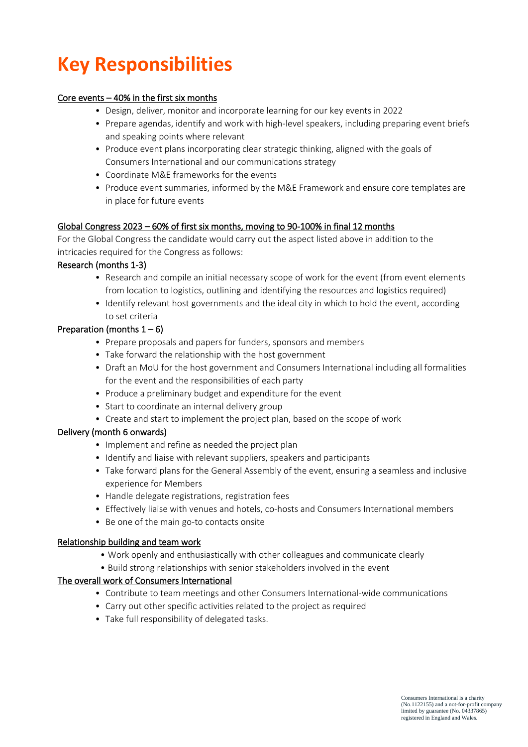# **Key Responsibilities**

#### Core events – 40% in the first six months

- Design, deliver, monitor and incorporate learning for our key events in 2022
- Prepare agendas, identify and work with high-level speakers, including preparing event briefs and speaking points where relevant
- Produce event plans incorporating clear strategic thinking, aligned with the goals of Consumers International and our communications strategy
- Coordinate M&E frameworks for the events
- Produce event summaries, informed by the M&E Framework and ensure core templates are in place for future events

#### Global Congress 2023 – 60% of first six months, moving to 90-100% in final 12 months

For the Global Congress the candidate would carry out the aspect listed above in addition to the intricacies required for the Congress as follows:

#### Research (months 1-3)

- Research and compile an initial necessary scope of work for the event (from event elements from location to logistics, outlining and identifying the resources and logistics required)
- Identify relevant host governments and the ideal city in which to hold the event, according to set criteria

#### Preparation (months  $1 - 6$ )

- Prepare proposals and papers for funders, sponsors and members
- Take forward the relationship with the host government
- Draft an MoU for the host government and Consumers International including all formalities for the event and the responsibilities of each party
- Produce a preliminary budget and expenditure for the event
- Start to coordinate an internal delivery group
- Create and start to implement the project plan, based on the scope of work

#### Delivery (month 6 onwards)

- Implement and refine as needed the project plan
- Identify and liaise with relevant suppliers, speakers and participants
- Take forward plans for the General Assembly of the event, ensuring a seamless and inclusive experience for Members
- Handle delegate registrations, registration fees
- Effectively liaise with venues and hotels, co-hosts and Consumers International members
- Be one of the main go-to contacts onsite

#### Relationship building and team work

- Work openly and enthusiastically with other colleagues and communicate clearly
- Build strong relationships with senior stakeholders involved in the event

#### The overall work of Consumers International

- Contribute to team meetings and other Consumers International-wide communications
- Carry out other specific activities related to the project as required
- Take full responsibility of delegated tasks.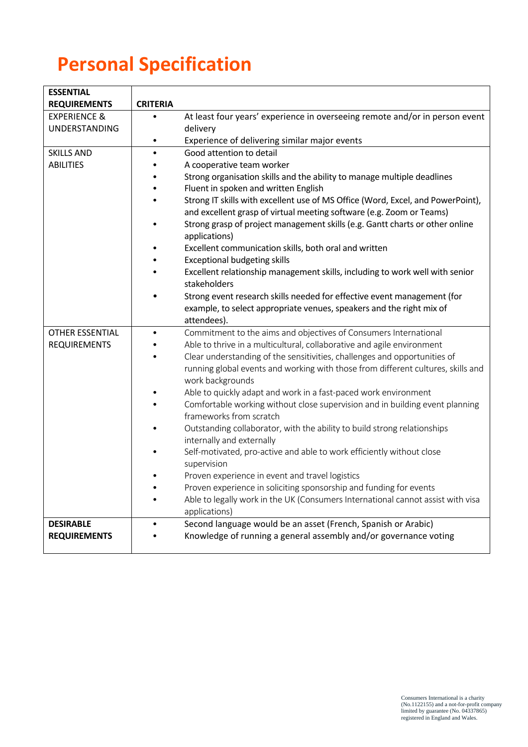# **Personal Specification**

| <b>ESSENTIAL</b>        |                 |                                                                                                         |
|-------------------------|-----------------|---------------------------------------------------------------------------------------------------------|
| <b>REQUIREMENTS</b>     | <b>CRITERIA</b> |                                                                                                         |
| <b>EXPERIENCE &amp;</b> | $\bullet$       | At least four years' experience in overseeing remote and/or in person event                             |
| UNDERSTANDING           |                 | delivery                                                                                                |
|                         | $\bullet$       | Experience of delivering similar major events                                                           |
| <b>SKILLS AND</b>       | $\bullet$       | Good attention to detail                                                                                |
| <b>ABILITIES</b>        |                 | A cooperative team worker                                                                               |
|                         |                 | Strong organisation skills and the ability to manage multiple deadlines                                 |
|                         |                 | Fluent in spoken and written English                                                                    |
|                         |                 | Strong IT skills with excellent use of MS Office (Word, Excel, and PowerPoint),                         |
|                         |                 | and excellent grasp of virtual meeting software (e.g. Zoom or Teams)                                    |
|                         |                 | Strong grasp of project management skills (e.g. Gantt charts or other online<br>applications)           |
|                         |                 | Excellent communication skills, both oral and written                                                   |
|                         |                 | <b>Exceptional budgeting skills</b>                                                                     |
|                         |                 | Excellent relationship management skills, including to work well with senior<br>stakeholders            |
|                         |                 | Strong event research skills needed for effective event management (for                                 |
|                         |                 | example, to select appropriate venues, speakers and the right mix of                                    |
|                         |                 | attendees).                                                                                             |
| OTHER ESSENTIAL         |                 | Commitment to the aims and objectives of Consumers International                                        |
| <b>REQUIREMENTS</b>     |                 | Able to thrive in a multicultural, collaborative and agile environment                                  |
|                         |                 | Clear understanding of the sensitivities, challenges and opportunities of                               |
|                         |                 | running global events and working with those from different cultures, skills and<br>work backgrounds    |
|                         |                 | Able to quickly adapt and work in a fast-paced work environment                                         |
|                         |                 | Comfortable working without close supervision and in building event planning<br>frameworks from scratch |
|                         |                 | Outstanding collaborator, with the ability to build strong relationships                                |
|                         |                 | internally and externally                                                                               |
|                         |                 | Self-motivated, pro-active and able to work efficiently without close                                   |
|                         |                 | supervision                                                                                             |
|                         |                 | Proven experience in event and travel logistics                                                         |
|                         |                 | Proven experience in soliciting sponsorship and funding for events                                      |
|                         |                 | Able to legally work in the UK (Consumers International cannot assist with visa                         |
|                         |                 | applications)                                                                                           |
| <b>DESIRABLE</b>        |                 | Second language would be an asset (French, Spanish or Arabic)                                           |
| <b>REQUIREMENTS</b>     |                 | Knowledge of running a general assembly and/or governance voting                                        |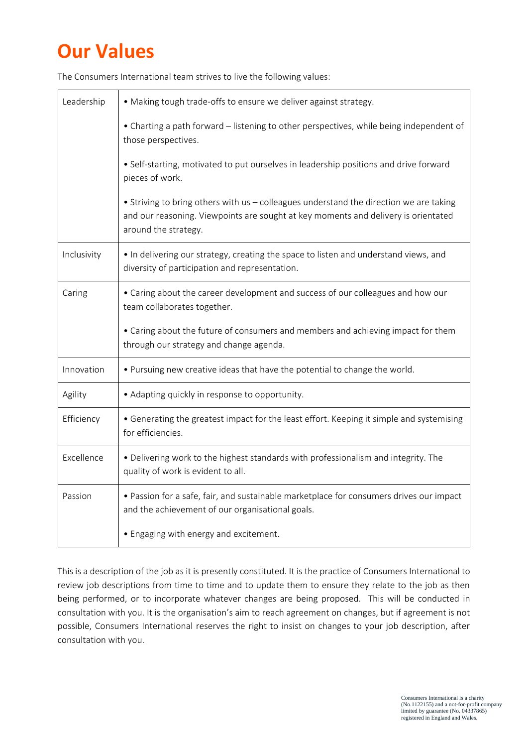## **Our Values**

| Leadership  | • Making tough trade-offs to ensure we deliver against strategy.                                                                                                                                     |
|-------------|------------------------------------------------------------------------------------------------------------------------------------------------------------------------------------------------------|
|             | • Charting a path forward – listening to other perspectives, while being independent of<br>those perspectives.                                                                                       |
|             | · Self-starting, motivated to put ourselves in leadership positions and drive forward<br>pieces of work.                                                                                             |
|             | • Striving to bring others with us - colleagues understand the direction we are taking<br>and our reasoning. Viewpoints are sought at key moments and delivery is orientated<br>around the strategy. |
| Inclusivity | • In delivering our strategy, creating the space to listen and understand views, and<br>diversity of participation and representation.                                                               |
| Caring      | • Caring about the career development and success of our colleagues and how our<br>team collaborates together.                                                                                       |
|             | • Caring about the future of consumers and members and achieving impact for them<br>through our strategy and change agenda.                                                                          |
| Innovation  | . Pursuing new creative ideas that have the potential to change the world.                                                                                                                           |
| Agility     | • Adapting quickly in response to opportunity.                                                                                                                                                       |
| Efficiency  | • Generating the greatest impact for the least effort. Keeping it simple and systemising<br>for efficiencies.                                                                                        |
| Excellence  | . Delivering work to the highest standards with professionalism and integrity. The<br>quality of work is evident to all.                                                                             |
| Passion     | • Passion for a safe, fair, and sustainable marketplace for consumers drives our impact<br>and the achievement of our organisational goals.                                                          |
|             | • Engaging with energy and excitement.                                                                                                                                                               |

The Consumers International team strives to live the following values:

This is a description of the job as it is presently constituted. It is the practice of Consumers International to review job descriptions from time to time and to update them to ensure they relate to the job as then being performed, or to incorporate whatever changes are being proposed. This will be conducted in consultation with you. It is the organisation's aim to reach agreement on changes, but if agreement is not possible, Consumers International reserves the right to insist on changes to your job description, after consultation with you.